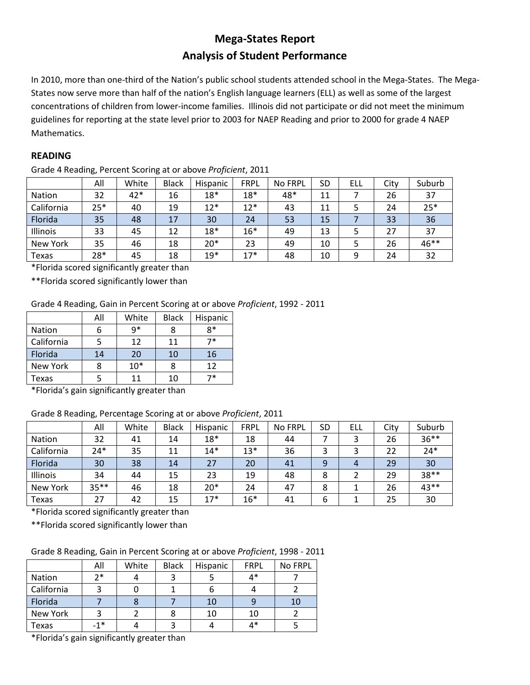# **Mega-States Report Analysis of Student Performance**

In 2010, more than one-third of the Nation's public school students attended school in the Mega-States. The Mega-States now serve more than half of the nation's English language learners (ELL) as well as some of the largest concentrations of children from lower-income families. Illinois did not participate or did not meet the minimum guidelines for reporting at the state level prior to 2003 for NAEP Reading and prior to 2000 for grade 4 NAEP Mathematics.

## **READING**

Grade 4 Reading, Percent Scoring at or above *Proficient*, 2011

|               | All   | White | <b>Black</b> | Hispanic | <b>FRPL</b> | No FRPL | SD | ELL | City | Suburb |
|---------------|-------|-------|--------------|----------|-------------|---------|----|-----|------|--------|
| <b>Nation</b> | 32    | 42*   | 16           | $18*$    | $18*$       | 48*     | 11 |     | 26   | 37     |
| California    | $25*$ | 40    | 19           | $12*$    | $12*$       | 43      | 11 | 5   | 24   | $25*$  |
| Florida       | 35    | 48    | 17           | 30       | 24          | 53      | 15 |     | 33   | 36     |
| Illinois      | 33    | 45    | 12           | $18*$    | $16*$       | 49      | 13 |     | 27   | 37     |
| New York      | 35    | 46    | 18           | $20*$    | 23          | 49      | 10 | 5   | 26   | 46**   |
| Texas         | 28*   | 45    | 18           | $19*$    | $17*$       | 48      | 10 | 9   | 24   | 32     |

\*Florida scored significantly greater than

\*\*Florida scored significantly lower than

## Grade 4 Reading, Gain in Percent Scoring at or above *Proficient*, 1992 - 2011

|            | All | White | <b>Black</b> | Hispanic |
|------------|-----|-------|--------------|----------|
| Nation     | b   | $q*$  | 8            | R*       |
| California |     | 12    | 11           | 7*       |
| Florida    | 14  | 20    | 10           | 16       |
| New York   | 8   | $10*$ | 8            | 12       |
| Texas      |     | 11    | 10           | 7*       |

\*Florida's gain significantly greater than

## Grade 8 Reading, Percentage Scoring at or above *Proficient*, 2011

|            | All     | White | <b>Black</b> | Hispanic | <b>FRPL</b> | No FRPL | <b>SD</b> | ELL | City | Suburb  |
|------------|---------|-------|--------------|----------|-------------|---------|-----------|-----|------|---------|
| Nation     | 32      | 41    | 14           | $18*$    | 18          | 44      |           |     | 26   | $36***$ |
| California | $24*$   | 35    | 11           | $14*$    | $13*$       | 36      | 3         | 3   | 22   | $24*$   |
| Florida    | 30      | 38    | 14           | 27       | 20          | 41      | 9         | 4   | 29   | 30      |
| Illinois   | 34      | 44    | 15           | 23       | 19          | 48      | 8         |     | 29   | 38**    |
| New York   | $35***$ | 46    | 18           | $20*$    | 24          | 47      | 8         |     | 26   | 43**    |
| Texas      | 27      | 42    | 15           | $17*$    | $16*$       | 41      | 6         |     | 25   | 30      |

\*Florida scored significantly greater than

\*\*Florida scored significantly lower than

## Grade 8 Reading, Gain in Percent Scoring at or above *Proficient*, 1998 - 2011

|            | All               | White | <b>Black</b> | Hispanic | <b>FRPL</b> | No FRPL |
|------------|-------------------|-------|--------------|----------|-------------|---------|
| Nation     | $7*$              |       |              |          | $4*$        |         |
| California |                   |       |              |          |             |         |
| Florida    |                   |       |              | 10       |             |         |
| New York   |                   |       |              | 10       | 10          |         |
| Texas      | $-1$ <sup>*</sup> |       |              |          | 4*          |         |

\*Florida's gain significantly greater than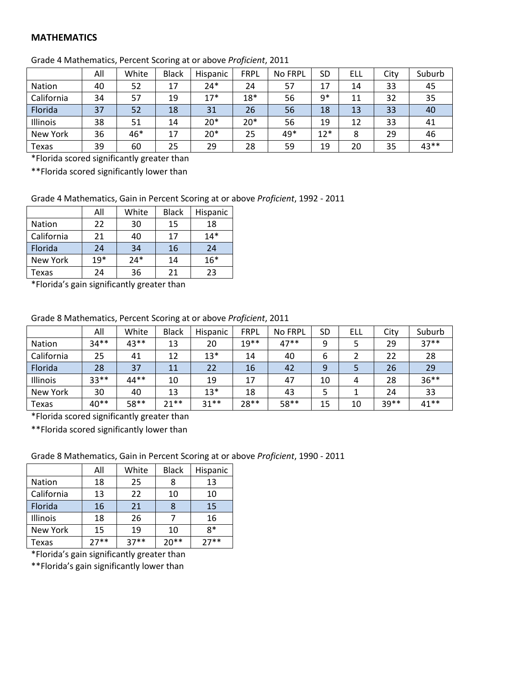#### **MATHEMATICS**

|            | All | White | <b>Black</b> | Hispanic | <b>FRPL</b> | <b>No FRPL</b> | SD    | ELL | City | Suburb |
|------------|-----|-------|--------------|----------|-------------|----------------|-------|-----|------|--------|
| Nation     | 40  | 52    | 17           | $24*$    | 24          | 57             | 17    | 14  | 33   | 45     |
| California | 34  | 57    | 19           | $17*$    | $18*$       | 56             | $9*$  | 11  | 32   | 35     |
| Florida    | 37  | 52    | 18           | 31       | 26          | 56             | 18    | 13  | 33   | 40     |
| Illinois   | 38  | 51    | 14           | $20*$    | $20*$       | 56             | 19    | 12  | 33   | 41     |
| New York   | 36  | 46*   | 17           | $20*$    | 25          | 49*            | $12*$ | 8   | 29   | 46     |
| Texas      | 39  | 60    | 25           | 29       | 28          | 59             | 19    | 20  | 35   | 43**   |

Grade 4 Mathematics, Percent Scoring at or above *Proficient*, 2011

\*Florida scored significantly greater than

\*\*Florida scored significantly lower than

#### Grade 4 Mathematics, Gain in Percent Scoring at or above *Proficient*, 1992 - 2011

|            | All   | White | <b>Black</b> | Hispanic |
|------------|-------|-------|--------------|----------|
| Nation     | 22    | 30    | 15           | 18       |
| California | 21    | 40    | 17           | $14*$    |
| Florida    | 24    | 34    | 16           | 24       |
| New York   | $19*$ | $24*$ | 14           | $16*$    |
| Texas      | 24    | 36    | 21           | 23       |

\*Florida's gain significantly greater than

#### Grade 8 Mathematics, Percent Scoring at or above *Proficient*, 2011

|               | All    | White  | <b>Black</b> | Hispanic | <b>FRPL</b> | No FRPL | SD | ELL | City | Suburb  |
|---------------|--------|--------|--------------|----------|-------------|---------|----|-----|------|---------|
| <b>Nation</b> | $34**$ | $43**$ | 13           | 20       | $19**$      | $47**$  | 9  |     | 29   | $37**$  |
| California    | 25     | 41     | 12           | $13*$    | 14          | 40      | 6  |     | 22   | 28      |
| Florida       | 28     | 37     | 11           | 22       | 16          | 42      | 9  |     | 26   | 29      |
| Illinois      | $33**$ | 44**   | 10           | 19       | 17          | 47      | 10 | 4   | 28   | $36***$ |
| New York      | 30     | 40     | 13           | $13*$    | 18          | 43      |    |     | 24   | 33      |
| Texas         | $40**$ | 58**   | $21**$       | $31**$   | $28**$      | 58**    | 15 | 10  | 39** | $41**$  |

\*Florida scored significantly greater than

\*\*Florida scored significantly lower than

Grade 8 Mathematics, Gain in Percent Scoring at or above *Proficient*, 1990 - 2011

|               | All    | White  | <b>Black</b> | Hispanic |
|---------------|--------|--------|--------------|----------|
| <b>Nation</b> | 18     | 25     | 8            | 13       |
| California    | 13     | 22     | 10           | 10       |
| Florida       | 16     | 21     |              | 15       |
| Illinois      | 18     | 26     |              | 16       |
| New York      | 15     | 19     | 10           | $8*$     |
| Texas         | $27**$ | $37**$ | $20**$       | $27**$   |

\*Florida's gain significantly greater than

\*\*Florida's gain significantly lower than